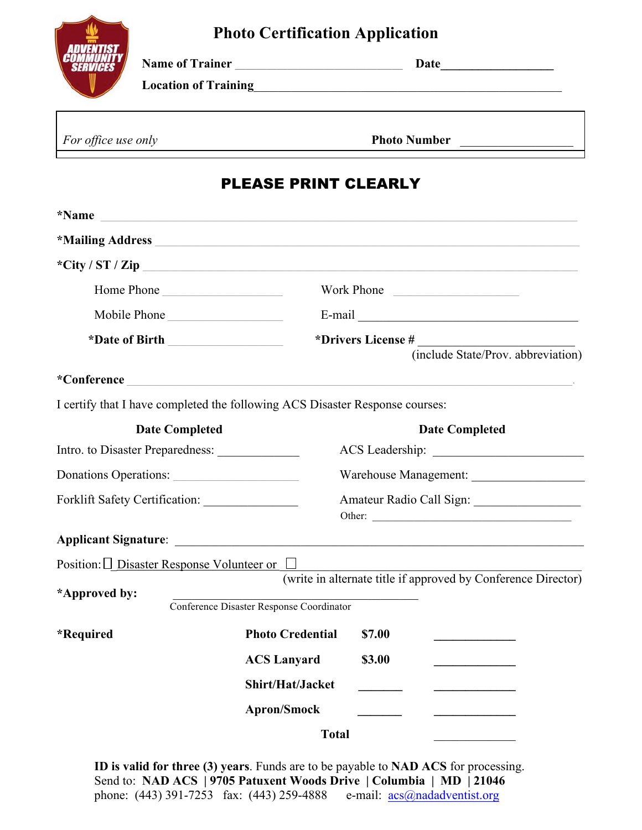## **Photo Certification Application**



**Name of Trainer \_\_\_\_\_\_\_\_\_\_\_\_\_\_\_\_\_\_\_\_\_\_\_\_\_\_\_\_\_\_\_\_ Date\_\_\_\_\_\_\_\_\_\_\_\_\_\_\_\_\_\_**

**Location of Training**\_\_\_\_\_\_\_\_\_\_\_\_\_\_\_\_\_\_\_\_\_\_\_\_\_\_\_\_\_\_\_\_\_\_\_\_\_\_\_\_\_\_\_\_\_\_\_\_\_

*For office use only* **Photo Number Photo Photo Number** 

## PLEASE PRINT CLEARLY

| *Name                                                  | <u> 1989 - Johann Barbara, marka a shekara tsa 1989 - An tsa 1989 - An tsa 1989 - An tsa 1989 - An tsa 1989 - An</u>                                                                                                                                                                                                                    |                                                          |  |  |  |
|--------------------------------------------------------|-----------------------------------------------------------------------------------------------------------------------------------------------------------------------------------------------------------------------------------------------------------------------------------------------------------------------------------------|----------------------------------------------------------|--|--|--|
|                                                        |                                                                                                                                                                                                                                                                                                                                         |                                                          |  |  |  |
|                                                        | *City / ST / Zip $\qquad \qquad$ $\qquad \qquad$ $\qquad$ $\qquad$ $\qquad$ $\qquad$ $\qquad$ $\qquad$ $\qquad$ $\qquad$ $\qquad$ $\qquad$ $\qquad$ $\qquad$ $\qquad$ $\qquad$ $\qquad$ $\qquad$ $\qquad$ $\qquad$ $\qquad$ $\qquad$ $\qquad$ $\qquad$ $\qquad$ $\qquad$ $\qquad$ $\qquad$ $\qquad$ $\qquad$ $\qquad$ $\qquad$ $\qquad$ |                                                          |  |  |  |
| Home Phone                                             |                                                                                                                                                                                                                                                                                                                                         | Work Phone                                               |  |  |  |
| Mobile Phone                                           |                                                                                                                                                                                                                                                                                                                                         |                                                          |  |  |  |
|                                                        |                                                                                                                                                                                                                                                                                                                                         | *Drivers License #<br>(include State/Prov. abbreviation) |  |  |  |
|                                                        | *Conference <b>Conference Conference Conference Conference Conference Conference Conference Conference Conference Conference Conference Conference Conference Conference Conference Conference C</b>                                                                                                                                    |                                                          |  |  |  |
|                                                        | I certify that I have completed the following ACS Disaster Response courses:                                                                                                                                                                                                                                                            |                                                          |  |  |  |
| <b>Date Completed</b>                                  |                                                                                                                                                                                                                                                                                                                                         | <b>Date Completed</b>                                    |  |  |  |
|                                                        |                                                                                                                                                                                                                                                                                                                                         |                                                          |  |  |  |
| Donations Operations:                                  |                                                                                                                                                                                                                                                                                                                                         |                                                          |  |  |  |
|                                                        |                                                                                                                                                                                                                                                                                                                                         | Amateur Radio Call Sign:<br>Other:                       |  |  |  |
|                                                        |                                                                                                                                                                                                                                                                                                                                         |                                                          |  |  |  |
| Position: $\Box$ Disaster Response Volunteer or $\Box$ |                                                                                                                                                                                                                                                                                                                                         |                                                          |  |  |  |
| *Approved by:                                          | (write in alternate title if approved by Conference Director)<br>Conference Disaster Response Coordinator                                                                                                                                                                                                                               |                                                          |  |  |  |
| *Required                                              | <b>Photo Credential</b>                                                                                                                                                                                                                                                                                                                 | \$7.00                                                   |  |  |  |
|                                                        | <b>ACS Lanyard</b>                                                                                                                                                                                                                                                                                                                      | \$3.00                                                   |  |  |  |
|                                                        | Shirt/Hat/Jacket                                                                                                                                                                                                                                                                                                                        | $\overline{\phantom{a}}$                                 |  |  |  |
|                                                        | <b>Apron/Smock</b>                                                                                                                                                                                                                                                                                                                      |                                                          |  |  |  |
|                                                        | <b>Total</b>                                                                                                                                                                                                                                                                                                                            |                                                          |  |  |  |

**ID is valid for three (3) years**. Funds are to be payable to **NAD ACS** for processing. Send to: **NAD ACS | 9705 Patuxent Woods Drive | Columbia | MD | 21046** phone: (443) 391-7253 fax: (443) 259-4888 e-mail: acs@nadadventist.org